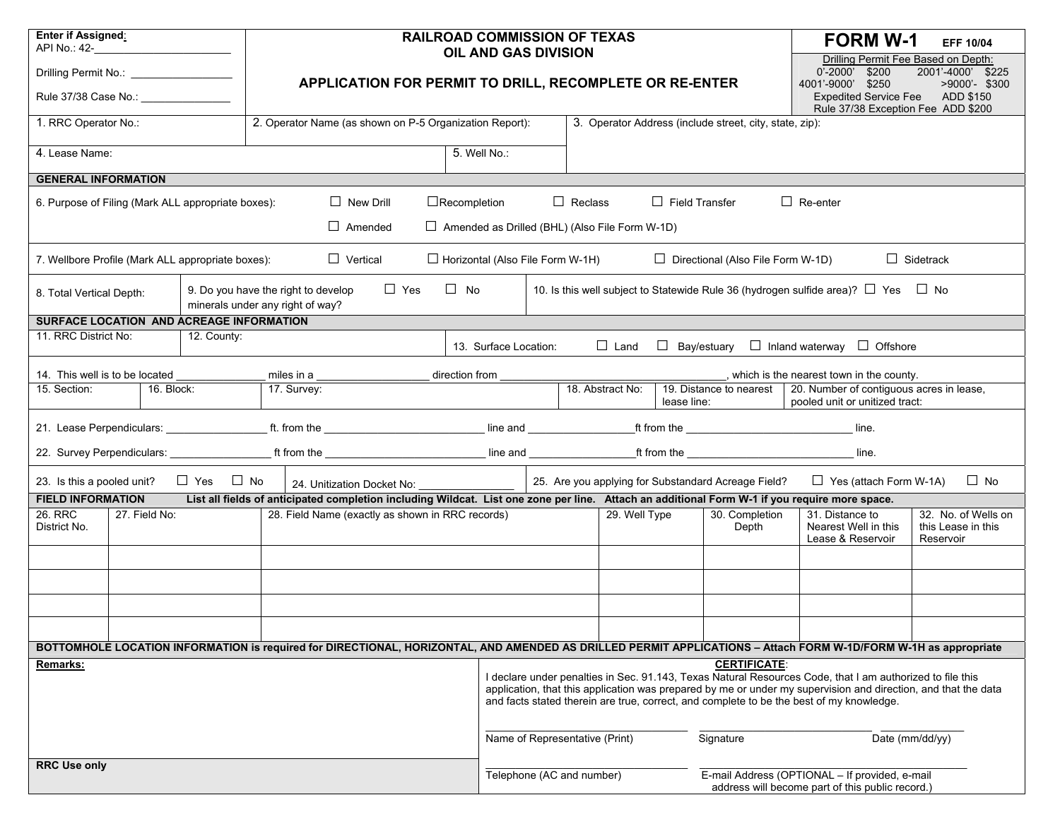| <b>Enter if Assigned:</b><br>API No.: 42-                                                                                                                                  |                                    |            |                     |                                                         |  |                |                                                       |                                                                                                                                                                                                                                                                                                                         | <b>RAILROAD COMMISSION OF TEXAS</b><br><b>OIL AND GAS DIVISION</b> |                 |             |                                                                                                    |                                                                                                       | <b>FORM W-1</b>                                                                                                                                                 | <b>EFF 10/04</b>                                       |
|----------------------------------------------------------------------------------------------------------------------------------------------------------------------------|------------------------------------|------------|---------------------|---------------------------------------------------------|--|----------------|-------------------------------------------------------|-------------------------------------------------------------------------------------------------------------------------------------------------------------------------------------------------------------------------------------------------------------------------------------------------------------------------|--------------------------------------------------------------------|-----------------|-------------|----------------------------------------------------------------------------------------------------|-------------------------------------------------------------------------------------------------------|-----------------------------------------------------------------------------------------------------------------------------------------------------------------|--------------------------------------------------------|
| Drilling Permit No.: <u>________________</u>                                                                                                                               |                                    |            |                     |                                                         |  |                |                                                       |                                                                                                                                                                                                                                                                                                                         |                                                                    |                 |             |                                                                                                    |                                                                                                       | Drilling Permit Fee Based on Depth:<br>\$200<br>$0' - 2000'$                                                                                                    | 2001'-4000' \$225                                      |
| Rule 37/38 Case No.: __________________                                                                                                                                    |                                    |            |                     | APPLICATION FOR PERMIT TO DRILL, RECOMPLETE OR RE-ENTER |  |                |                                                       |                                                                                                                                                                                                                                                                                                                         |                                                                    |                 |             |                                                                                                    |                                                                                                       | 4001'-9000' \$250<br><b>Expedited Service Fee</b><br>Rule 37/38 Exception Fee ADD \$200                                                                         | >9000'- \$300<br>ADD \$150                             |
| 1. RRC Operator No.:                                                                                                                                                       |                                    |            |                     | 2. Operator Name (as shown on P-5 Organization Report): |  |                |                                                       |                                                                                                                                                                                                                                                                                                                         |                                                                    |                 |             |                                                                                                    | 3. Operator Address (include street, city, state, zip):                                               |                                                                                                                                                                 |                                                        |
| 4. Lease Name:                                                                                                                                                             |                                    |            |                     | 5. Well No.:                                            |  |                |                                                       |                                                                                                                                                                                                                                                                                                                         |                                                                    |                 |             |                                                                                                    |                                                                                                       |                                                                                                                                                                 |                                                        |
| <b>GENERAL INFORMATION</b>                                                                                                                                                 |                                    |            |                     |                                                         |  |                |                                                       |                                                                                                                                                                                                                                                                                                                         |                                                                    |                 |             |                                                                                                    |                                                                                                       |                                                                                                                                                                 |                                                        |
| 6. Purpose of Filing (Mark ALL appropriate boxes):                                                                                                                         | $\Box$ New Drill<br>$\Box$ Amended |            | $\Box$ Recompletion |                                                         |  | $\Box$ Reclass | $\Box$ Amended as Drilled (BHL) (Also File Form W-1D) | $\Box$ Field Transfer                                                                                                                                                                                                                                                                                                   |                                                                    | $\Box$ Re-enter |             |                                                                                                    |                                                                                                       |                                                                                                                                                                 |                                                        |
|                                                                                                                                                                            |                                    |            |                     |                                                         |  |                |                                                       |                                                                                                                                                                                                                                                                                                                         |                                                                    |                 |             |                                                                                                    |                                                                                                       |                                                                                                                                                                 |                                                        |
| $\Box$ Vertical<br>7. Wellbore Profile (Mark ALL appropriate boxes):                                                                                                       |                                    |            |                     |                                                         |  |                |                                                       | $\Box$ Horizontal (Also File Form W-1H)<br>$\Box$ Directional (Also File Form W-1D)                                                                                                                                                                                                                                     |                                                                    |                 |             |                                                                                                    |                                                                                                       |                                                                                                                                                                 | $\Box$ Sidetrack                                       |
| $\Box$ No<br>$\Box$ Yes<br>9. Do you have the right to develop<br>8. Total Vertical Depth:<br>minerals under any right of way?<br>SURFACE LOCATION AND ACREAGE INFORMATION |                                    |            |                     |                                                         |  |                |                                                       |                                                                                                                                                                                                                                                                                                                         |                                                                    |                 |             |                                                                                                    |                                                                                                       | 10. Is this well subject to Statewide Rule 36 (hydrogen sulfide area)? $\Box$ Yes                                                                               | $\Box$ No                                              |
|                                                                                                                                                                            |                                    |            |                     |                                                         |  |                |                                                       |                                                                                                                                                                                                                                                                                                                         |                                                                    |                 |             |                                                                                                    |                                                                                                       |                                                                                                                                                                 |                                                        |
| 11. RRC District No:<br>12. County:                                                                                                                                        |                                    |            |                     |                                                         |  |                |                                                       |                                                                                                                                                                                                                                                                                                                         | 13. Surface Location:                                              |                 | $\Box$ Land |                                                                                                    |                                                                                                       | $\Box$ Bay/estuary $\Box$ Inland waterway $\Box$ Offshore                                                                                                       |                                                        |
| 14. This well is to be located<br>miles in a<br>direction from _                                                                                                           |                                    |            |                     |                                                         |  |                |                                                       |                                                                                                                                                                                                                                                                                                                         | which is the nearest town in the county.                           |                 |             |                                                                                                    |                                                                                                       |                                                                                                                                                                 |                                                        |
| 16. Block:<br>15. Section:                                                                                                                                                 |                                    |            |                     | 17. Survey:                                             |  |                |                                                       | 18. Abstract No:                                                                                                                                                                                                                                                                                                        |                                                                    |                 |             | lease line:                                                                                        | 19. Distance to nearest<br>20. Number of contiguous acres in lease,<br>pooled unit or unitized tract: |                                                                                                                                                                 |                                                        |
|                                                                                                                                                                            |                                    |            |                     |                                                         |  |                |                                                       |                                                                                                                                                                                                                                                                                                                         |                                                                    | $line$ line.    |             |                                                                                                    |                                                                                                       |                                                                                                                                                                 |                                                        |
|                                                                                                                                                                            |                                    |            |                     |                                                         |  |                |                                                       |                                                                                                                                                                                                                                                                                                                         |                                                                    |                 |             |                                                                                                    |                                                                                                       | line.                                                                                                                                                           |                                                        |
| 23. Is this a pooled unit?                                                                                                                                                 |                                    | $\Box$ Yes | $\Box$ No           |                                                         |  |                |                                                       | 25. Are you applying for Substandard Acreage Field?                                                                                                                                                                                                                                                                     |                                                                    |                 |             |                                                                                                    | $\Box$ Yes (attach Form W-1A)                                                                         | $\Box$ No                                                                                                                                                       |                                                        |
| List all fields of anticipated completion including Wildcat. List one zone per line. Attach an additional Form W-1 if you require more space.<br><b>FIELD INFORMATION</b>  |                                    |            |                     |                                                         |  |                |                                                       |                                                                                                                                                                                                                                                                                                                         |                                                                    |                 |             |                                                                                                    |                                                                                                       |                                                                                                                                                                 |                                                        |
| 26. RRC<br>District No.                                                                                                                                                    | 27. Field No:                      |            |                     | 28. Field Name (exactly as shown in RRC records)        |  |                |                                                       |                                                                                                                                                                                                                                                                                                                         |                                                                    | 29. Well Type   |             |                                                                                                    | 30. Completion<br>Depth                                                                               | 31. Distance to<br>Nearest Well in this<br>Lease & Reservoir                                                                                                    | 32. No. of Wells on<br>this Lease in this<br>Reservoir |
|                                                                                                                                                                            |                                    |            |                     |                                                         |  |                |                                                       |                                                                                                                                                                                                                                                                                                                         |                                                                    |                 |             |                                                                                                    |                                                                                                       |                                                                                                                                                                 |                                                        |
|                                                                                                                                                                            |                                    |            |                     |                                                         |  |                |                                                       |                                                                                                                                                                                                                                                                                                                         |                                                                    |                 |             |                                                                                                    |                                                                                                       |                                                                                                                                                                 |                                                        |
|                                                                                                                                                                            |                                    |            |                     |                                                         |  |                |                                                       |                                                                                                                                                                                                                                                                                                                         |                                                                    |                 |             |                                                                                                    |                                                                                                       |                                                                                                                                                                 |                                                        |
|                                                                                                                                                                            |                                    |            |                     |                                                         |  |                |                                                       |                                                                                                                                                                                                                                                                                                                         |                                                                    |                 |             |                                                                                                    |                                                                                                       | BOTTOMHOLE LOCATION INFORMATION is required for DIRECTIONAL, HORIZONTAL, AND AMENDED AS DRILLED PERMIT APPLICATIONS - Attach FORM W-1D/FORM W-1H as appropriate |                                                        |
| Remarks:                                                                                                                                                                   |                                    |            |                     |                                                         |  |                |                                                       |                                                                                                                                                                                                                                                                                                                         |                                                                    |                 |             |                                                                                                    | <b>CERTIFICATE:</b>                                                                                   |                                                                                                                                                                 |                                                        |
|                                                                                                                                                                            |                                    |            |                     |                                                         |  |                |                                                       | I declare under penalties in Sec. 91.143, Texas Natural Resources Code, that I am authorized to file this<br>application, that this application was prepared by me or under my supervision and direction, and that the data<br>and facts stated therein are true, correct, and complete to be the best of my knowledge. |                                                                    |                 |             |                                                                                                    |                                                                                                       |                                                                                                                                                                 |                                                        |
|                                                                                                                                                                            |                                    |            |                     |                                                         |  |                | Name of Representative (Print)                        |                                                                                                                                                                                                                                                                                                                         |                                                                    |                 |             | Signature                                                                                          | Date (mm/dd/yy)                                                                                       |                                                                                                                                                                 |                                                        |
| <b>RRC Use only</b>                                                                                                                                                        |                                    |            |                     |                                                         |  |                | Telephone (AC and number)                             |                                                                                                                                                                                                                                                                                                                         |                                                                    |                 |             |                                                                                                    |                                                                                                       |                                                                                                                                                                 |                                                        |
|                                                                                                                                                                            |                                    |            |                     |                                                         |  |                |                                                       |                                                                                                                                                                                                                                                                                                                         |                                                                    |                 |             | E-mail Address (OPTIONAL - If provided, e-mail<br>address will become part of this public record.) |                                                                                                       |                                                                                                                                                                 |                                                        |